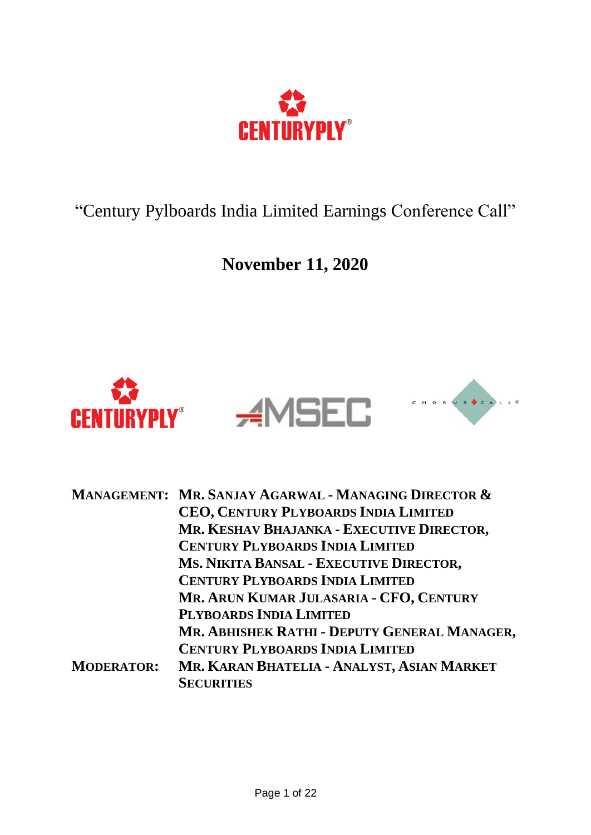

"Century Pylboards India Limited Earnings Conference Call"

**November 11, 2020**



|                   | MANAGEMENT: MR. SANJAY AGARWAL - MANAGING DIRECTOR & |
|-------------------|------------------------------------------------------|
|                   | CEO, CENTURY PLYBOARDS INDIA LIMITED                 |
|                   | MR. KESHAV BHAJANKA - EXECUTIVE DIRECTOR,            |
|                   | <b>CENTURY PLYBOARDS INDIA LIMITED</b>               |
|                   | MS. NIKITA BANSAL - EXECUTIVE DIRECTOR,              |
|                   | <b>CENTURY PLYBOARDS INDIA LIMITED</b>               |
|                   | MR. ARUN KUMAR JULASARIA - CFO, CENTURY              |
|                   | PLYBOARDS INDIA LIMITED                              |
|                   | MR. ABHISHEK RATHI - DEPUTY GENERAL MANAGER,         |
|                   | <b>CENTURY PLYBOARDS INDIA LIMITED</b>               |
| <b>MODERATOR:</b> | MR. KARAN BHATELIA - ANALYST, ASIAN MARKET           |
|                   | <b>SECURITIES</b>                                    |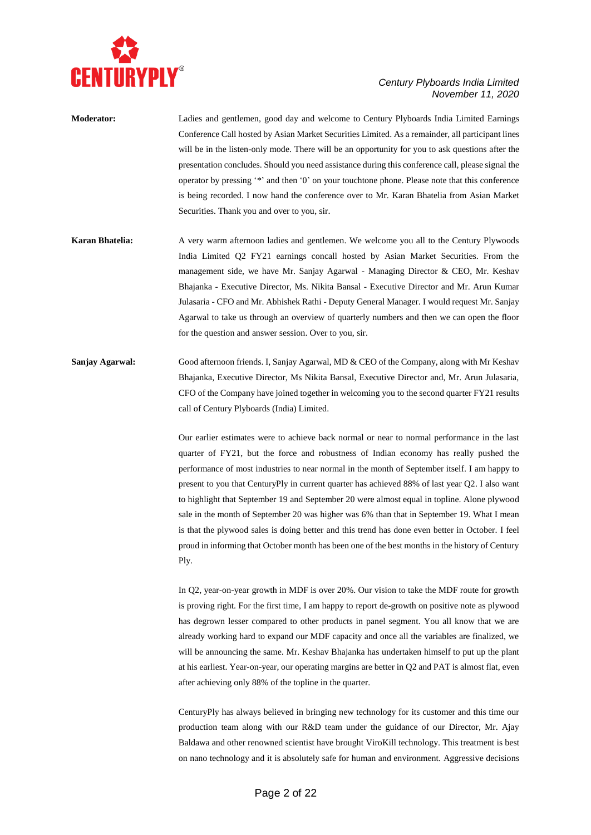

| <b>Moderator:</b> | Ladies and gentlemen, good day and welcome to Century Plyboards India Limited Earnings            |
|-------------------|---------------------------------------------------------------------------------------------------|
|                   | Conference Call hosted by Asian Market Securities Limited. As a remainder, all participant lines  |
|                   | will be in the listen-only mode. There will be an opportunity for you to ask questions after the  |
|                   | presentation concludes. Should you need assistance during this conference call, please signal the |
|                   | operator by pressing '*' and then '0' on your touchtone phone. Please note that this conference   |
|                   | is being recorded. I now hand the conference over to Mr. Karan Bhatelia from Asian Market         |
|                   | Securities. Thank you and over to you, sir.                                                       |
|                   |                                                                                                   |

- **Karan Bhatelia:** A very warm afternoon ladies and gentlemen. We welcome you all to the Century Plywoods India Limited Q2 FY21 earnings concall hosted by Asian Market Securities. From the management side, we have Mr. Sanjay Agarwal - Managing Director & CEO, Mr. Keshav Bhajanka - Executive Director, Ms. Nikita Bansal - Executive Director and Mr. Arun Kumar Julasaria - CFO and Mr. Abhishek Rathi - Deputy General Manager. I would request Mr. Sanjay Agarwal to take us through an overview of quarterly numbers and then we can open the floor for the question and answer session. Over to you, sir.
- **Sanjay Agarwal:** Good afternoon friends. I, Sanjay Agarwal, MD & CEO of the Company, along with Mr Keshav Bhajanka, Executive Director, Ms Nikita Bansal, Executive Director and, Mr. Arun Julasaria, CFO of the Company have joined together in welcoming you to the second quarter FY21 results call of Century Plyboards (India) Limited.

Our earlier estimates were to achieve back normal or near to normal performance in the last quarter of FY21, but the force and robustness of Indian economy has really pushed the performance of most industries to near normal in the month of September itself. I am happy to present to you that CenturyPly in current quarter has achieved 88% of last year Q2. I also want to highlight that September 19 and September 20 were almost equal in topline. Alone plywood sale in the month of September 20 was higher was 6% than that in September 19. What I mean is that the plywood sales is doing better and this trend has done even better in October. I feel proud in informing that October month has been one of the best months in the history of Century Ply.

In Q2, year-on-year growth in MDF is over 20%. Our vision to take the MDF route for growth is proving right. For the first time, I am happy to report de-growth on positive note as plywood has degrown lesser compared to other products in panel segment. You all know that we are already working hard to expand our MDF capacity and once all the variables are finalized, we will be announcing the same. Mr. Keshav Bhajanka has undertaken himself to put up the plant at his earliest. Year-on-year, our operating margins are better in Q2 and PAT is almost flat, even after achieving only 88% of the topline in the quarter.

CenturyPly has always believed in bringing new technology for its customer and this time our production team along with our R&D team under the guidance of our Director, Mr. Ajay Baldawa and other renowned scientist have brought ViroKill technology. This treatment is best on nano technology and it is absolutely safe for human and environment. Aggressive decisions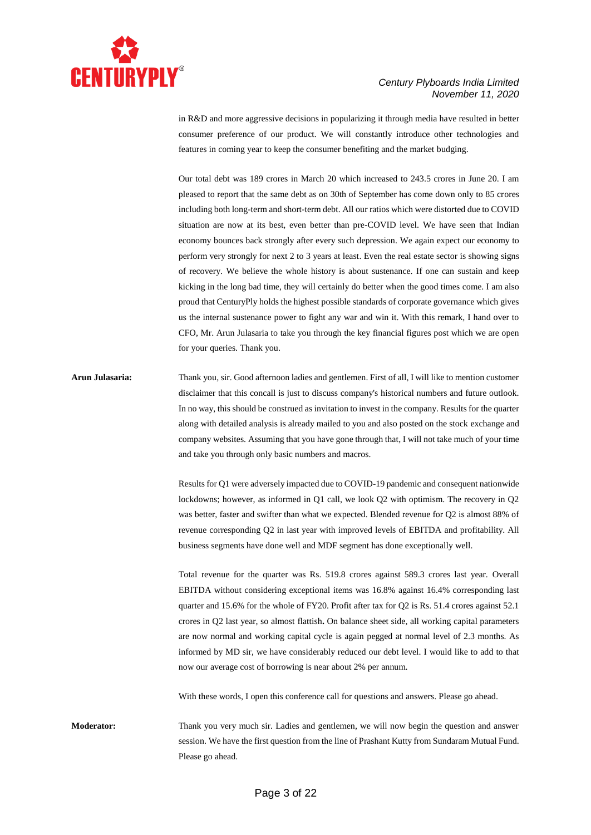

in R&D and more aggressive decisions in popularizing it through media have resulted in better consumer preference of our product. We will constantly introduce other technologies and features in coming year to keep the consumer benefiting and the market budging.

Our total debt was 189 crores in March 20 which increased to 243.5 crores in June 20. I am pleased to report that the same debt as on 30th of September has come down only to 85 crores including both long-term and short-term debt. All our ratios which were distorted due to COVID situation are now at its best, even better than pre-COVID level. We have seen that Indian economy bounces back strongly after every such depression. We again expect our economy to perform very strongly for next 2 to 3 years at least. Even the real estate sector is showing signs of recovery. We believe the whole history is about sustenance. If one can sustain and keep kicking in the long bad time, they will certainly do better when the good times come. I am also proud that CenturyPly holds the highest possible standards of corporate governance which gives us the internal sustenance power to fight any war and win it. With this remark, I hand over to CFO, Mr. Arun Julasaria to take you through the key financial figures post which we are open for your queries. Thank you.

## **Arun Julasaria:** Thank you, sir. Good afternoon ladies and gentlemen. First of all, I will like to mention customer disclaimer that this concall is just to discuss company's historical numbers and future outlook. In no way, this should be construed as invitation to invest in the company. Results for the quarter along with detailed analysis is already mailed to you and also posted on the stock exchange and company websites. Assuming that you have gone through that, I will not take much of your time and take you through only basic numbers and macros.

Results for Q1 were adversely impacted due to COVID-19 pandemic and consequent nationwide lockdowns; however, as informed in Q1 call, we look Q2 with optimism. The recovery in Q2 was better, faster and swifter than what we expected. Blended revenue for Q2 is almost 88% of revenue corresponding Q2 in last year with improved levels of EBITDA and profitability. All business segments have done well and MDF segment has done exceptionally well.

Total revenue for the quarter was Rs. 519.8 crores against 589.3 crores last year. Overall EBITDA without considering exceptional items was 16.8% against 16.4% corresponding last quarter and 15.6% for the whole of FY20. Profit after tax for Q2 is Rs. 51.4 crores against 52.1 crores in Q2 last year, so almost flattish**.** On balance sheet side, all working capital parameters are now normal and working capital cycle is again pegged at normal level of 2.3 months. As informed by MD sir, we have considerably reduced our debt level. I would like to add to that now our average cost of borrowing is near about 2% per annum.

With these words, I open this conference call for questions and answers. Please go ahead.

**Moderator:** Thank you very much sir. Ladies and gentlemen, we will now begin the question and answer session. We have the first question from the line of Prashant Kutty from Sundaram Mutual Fund. Please go ahead.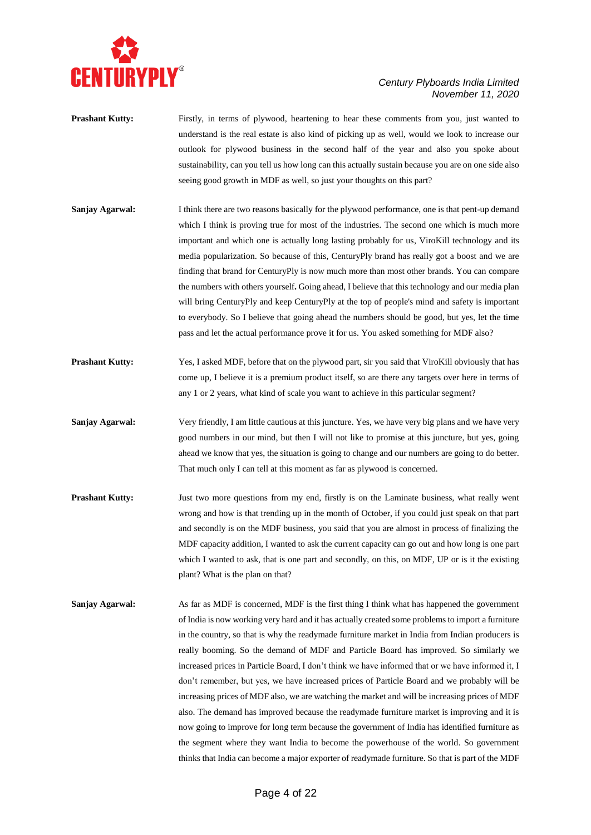

- **Prashant Kutty:** Firstly, in terms of plywood, heartening to hear these comments from you, just wanted to understand is the real estate is also kind of picking up as well, would we look to increase our outlook for plywood business in the second half of the year and also you spoke about sustainability, can you tell us how long can this actually sustain because you are on one side also seeing good growth in MDF as well, so just your thoughts on this part?
- **Sanjay Agarwal:** I think there are two reasons basically for the plywood performance, one is that pent-up demand which I think is proving true for most of the industries. The second one which is much more important and which one is actually long lasting probably for us, ViroKill technology and its media popularization. So because of this, CenturyPly brand has really got a boost and we are finding that brand for CenturyPly is now much more than most other brands. You can compare the numbers with others yourself**.** Going ahead, I believe that this technology and our media plan will bring CenturyPly and keep CenturyPly at the top of people's mind and safety is important to everybody. So I believe that going ahead the numbers should be good, but yes, let the time pass and let the actual performance prove it for us. You asked something for MDF also?
- **Prashant Kutty:** Yes, I asked MDF, before that on the plywood part, sir you said that ViroKill obviously that has come up, I believe it is a premium product itself, so are there any targets over here in terms of any 1 or 2 years, what kind of scale you want to achieve in this particular segment?
- **Sanjay Agarwal:** Very friendly, I am little cautious at this juncture. Yes, we have very big plans and we have very good numbers in our mind, but then I will not like to promise at this juncture, but yes, going ahead we know that yes, the situation is going to change and our numbers are going to do better. That much only I can tell at this moment as far as plywood is concerned.
- **Prashant Kutty:** Just two more questions from my end, firstly is on the Laminate business, what really went wrong and how is that trending up in the month of October, if you could just speak on that part and secondly is on the MDF business, you said that you are almost in process of finalizing the MDF capacity addition, I wanted to ask the current capacity can go out and how long is one part which I wanted to ask, that is one part and secondly, on this, on MDF, UP or is it the existing plant? What is the plan on that?
- **Sanjay Agarwal:** As far as MDF is concerned, MDF is the first thing I think what has happened the government of India is now working very hard and it has actually created some problems to import a furniture in the country, so that is why the readymade furniture market in India from Indian producers is really booming. So the demand of MDF and Particle Board has improved. So similarly we increased prices in Particle Board, I don't think we have informed that or we have informed it, I don't remember, but yes, we have increased prices of Particle Board and we probably will be increasing prices of MDF also, we are watching the market and will be increasing prices of MDF also. The demand has improved because the readymade furniture market is improving and it is now going to improve for long term because the government of India has identified furniture as the segment where they want India to become the powerhouse of the world. So government thinks that India can become a major exporter of readymade furniture. So that is part of the MDF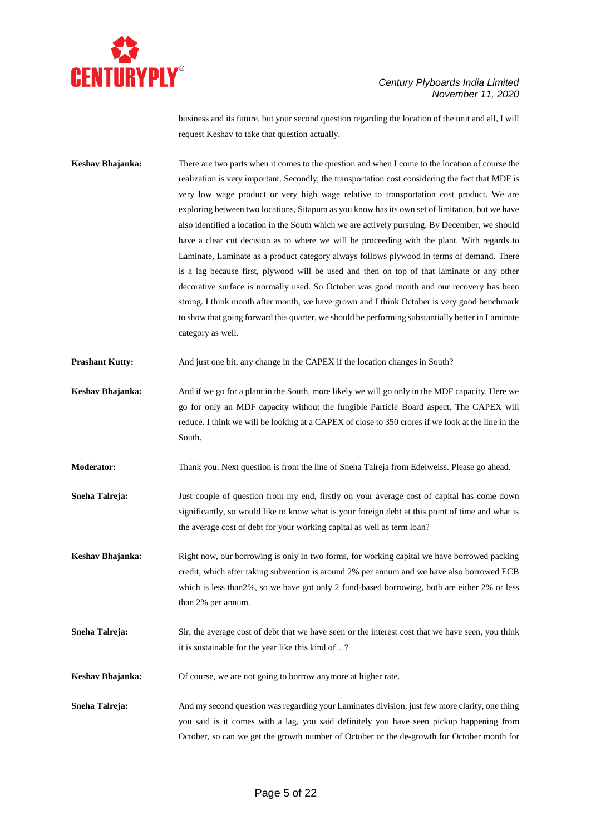

business and its future, but your second question regarding the location of the unit and all, I will request Keshav to take that question actually.

**Keshav Bhajanka:** There are two parts when it comes to the question and when I come to the location of course the realization is very important. Secondly, the transportation cost considering the fact that MDF is very low wage product or very high wage relative to transportation cost product. We are exploring between two locations, Sitapura as you know has its own set of limitation, but we have also identified a location in the South which we are actively pursuing. By December, we should have a clear cut decision as to where we will be proceeding with the plant. With regards to Laminate, Laminate as a product category always follows plywood in terms of demand. There is a lag because first, plywood will be used and then on top of that laminate or any other decorative surface is normally used. So October was good month and our recovery has been strong. I think month after month, we have grown and I think October is very good benchmark to show that going forward this quarter, we should be performing substantially better in Laminate category as well.

**Prashant Kutty:** And just one bit, any change in the CAPEX if the location changes in South?

- **Keshav Bhajanka:** And if we go for a plant in the South, more likely we will go only in the MDF capacity. Here we go for only an MDF capacity without the fungible Particle Board aspect. The CAPEX will reduce. I think we will be looking at a CAPEX of close to 350 crores if we look at the line in the South.
- **Moderator:** Thank you. Next question is from the line of Sneha Talreja from Edelweiss. Please go ahead.
- **Sneha Talreja:** Just couple of question from my end, firstly on your average cost of capital has come down significantly, so would like to know what is your foreign debt at this point of time and what is the average cost of debt for your working capital as well as term loan?
- **Keshav Bhajanka:** Right now, our borrowing is only in two forms, for working capital we have borrowed packing credit, which after taking subvention is around 2% per annum and we have also borrowed ECB which is less than2%, so we have got only 2 fund-based borrowing, both are either 2% or less than 2% per annum.
- **Sneha Talreja:** Sir, the average cost of debt that we have seen or the interest cost that we have seen, you think it is sustainable for the year like this kind of…?
- **Keshav Bhajanka:** Of course, we are not going to borrow anymore at higher rate.
- **Sneha Talreja:** And my second question was regarding your Laminates division, just few more clarity, one thing you said is it comes with a lag, you said definitely you have seen pickup happening from October, so can we get the growth number of October or the de-growth for October month for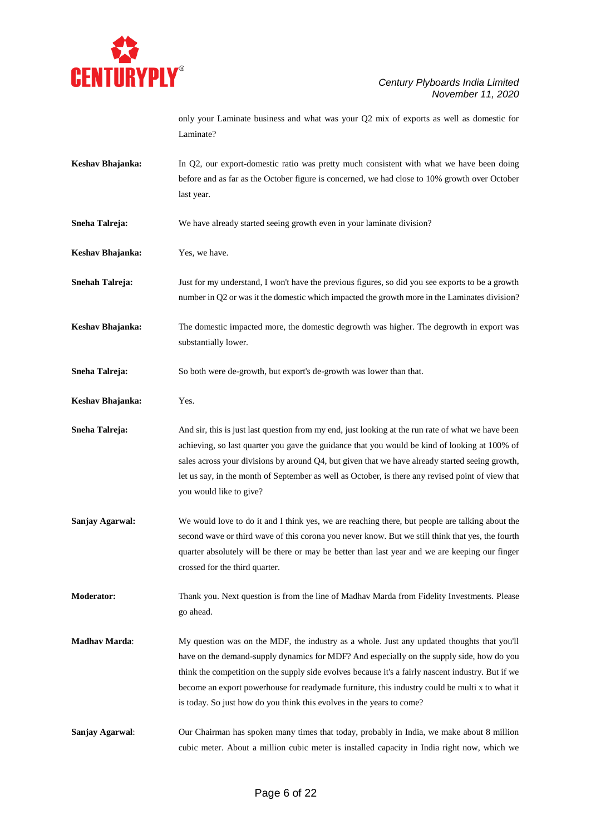

only your Laminate business and what was your Q2 mix of exports as well as domestic for Laminate?

- **Keshav Bhajanka:** In Q2, our export-domestic ratio was pretty much consistent with what we have been doing before and as far as the October figure is concerned, we had close to 10% growth over October last year.
- **Sneha Talreja:** We have already started seeing growth even in your laminate division?
- **Keshav Bhajanka:** Yes, we have.

**Snehah Talreja:** Just for my understand, I won't have the previous figures, so did you see exports to be a growth number in Q2 or was it the domestic which impacted the growth more in the Laminates division?

**Keshav Bhajanka:** The domestic impacted more, the domestic degrowth was higher. The degrowth in export was substantially lower.

**Sneha Talreja:** So both were de-growth, but export's de-growth was lower than that.

**Keshav Bhajanka:** Yes.

**Sneha Talreja:** And sir, this is just last question from my end, just looking at the run rate of what we have been achieving, so last quarter you gave the guidance that you would be kind of looking at 100% of sales across your divisions by around Q4, but given that we have already started seeing growth, let us say, in the month of September as well as October, is there any revised point of view that you would like to give?

**Sanjay Agarwal:** We would love to do it and I think yes, we are reaching there, but people are talking about the second wave or third wave of this corona you never know. But we still think that yes, the fourth quarter absolutely will be there or may be better than last year and we are keeping our finger crossed for the third quarter.

**Moderator:** Thank you. Next question is from the line of Madhav Marda from Fidelity Investments. Please go ahead.

- **Madhav Marda:** My question was on the MDF, the industry as a whole. Just any updated thoughts that you'll have on the demand-supply dynamics for MDF? And especially on the supply side, how do you think the competition on the supply side evolves because it's a fairly nascent industry. But if we become an export powerhouse for readymade furniture, this industry could be multi x to what it is today. So just how do you think this evolves in the years to come?
- **Sanjay Agarwal**: Our Chairman has spoken many times that today, probably in India, we make about 8 million cubic meter. About a million cubic meter is installed capacity in India right now, which we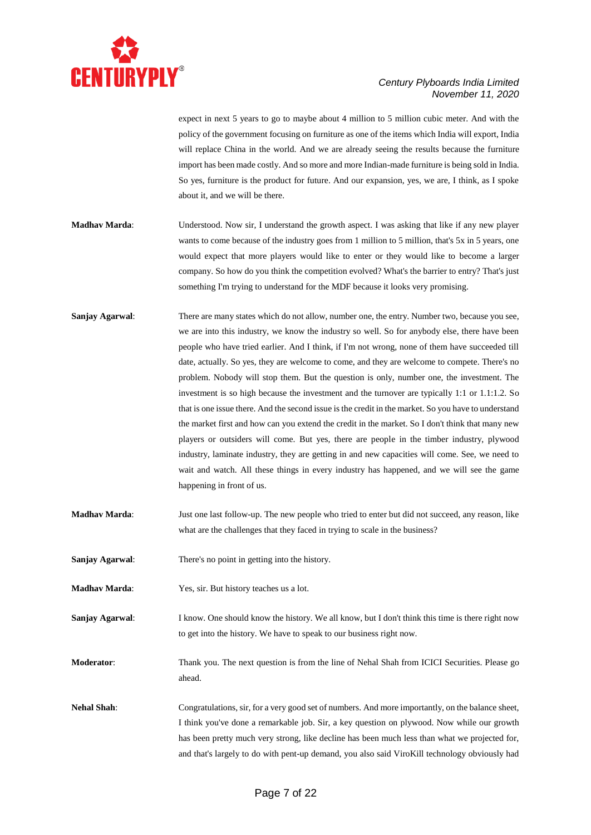

expect in next 5 years to go to maybe about 4 million to 5 million cubic meter. And with the policy of the government focusing on furniture as one of the items which India will export, India will replace China in the world. And we are already seeing the results because the furniture import has been made costly. And so more and more Indian-made furniture is being sold in India. So yes, furniture is the product for future. And our expansion, yes, we are, I think, as I spoke about it, and we will be there.

- **Madhav Marda**: Understood. Now sir, I understand the growth aspect. I was asking that like if any new player wants to come because of the industry goes from 1 million to 5 million, that's 5x in 5 years, one would expect that more players would like to enter or they would like to become a larger company. So how do you think the competition evolved? What's the barrier to entry? That's just something I'm trying to understand for the MDF because it looks very promising.
- **Sanjay Agarwal**: There are many states which do not allow, number one, the entry. Number two, because you see, we are into this industry, we know the industry so well. So for anybody else, there have been people who have tried earlier. And I think, if I'm not wrong, none of them have succeeded till date, actually. So yes, they are welcome to come, and they are welcome to compete. There's no problem. Nobody will stop them. But the question is only, number one, the investment. The investment is so high because the investment and the turnover are typically 1:1 or 1.1:1.2. So that is one issue there. And the second issue is the credit in the market. So you have to understand the market first and how can you extend the credit in the market. So I don't think that many new players or outsiders will come. But yes, there are people in the timber industry, plywood industry, laminate industry, they are getting in and new capacities will come. See, we need to wait and watch. All these things in every industry has happened, and we will see the game happening in front of us.
- **Madhav Marda**: Just one last follow-up. The new people who tried to enter but did not succeed, any reason, like what are the challenges that they faced in trying to scale in the business?
- **Sanjay Agarwal**: There's no point in getting into the history.
- **Madhav Marda**: Yes, sir. But history teaches us a lot.
- **Sanjay Agarwal:** I know. One should know the history. We all know, but I don't think this time is there right now to get into the history. We have to speak to our business right now.
- **Moderator:** Thank you. The next question is from the line of Nehal Shah from ICICI Securities. Please go ahead.
- **Nehal Shah**: Congratulations, sir, for a very good set of numbers. And more importantly, on the balance sheet, I think you've done a remarkable job. Sir, a key question on plywood. Now while our growth has been pretty much very strong, like decline has been much less than what we projected for, and that's largely to do with pent-up demand, you also said ViroKill technology obviously had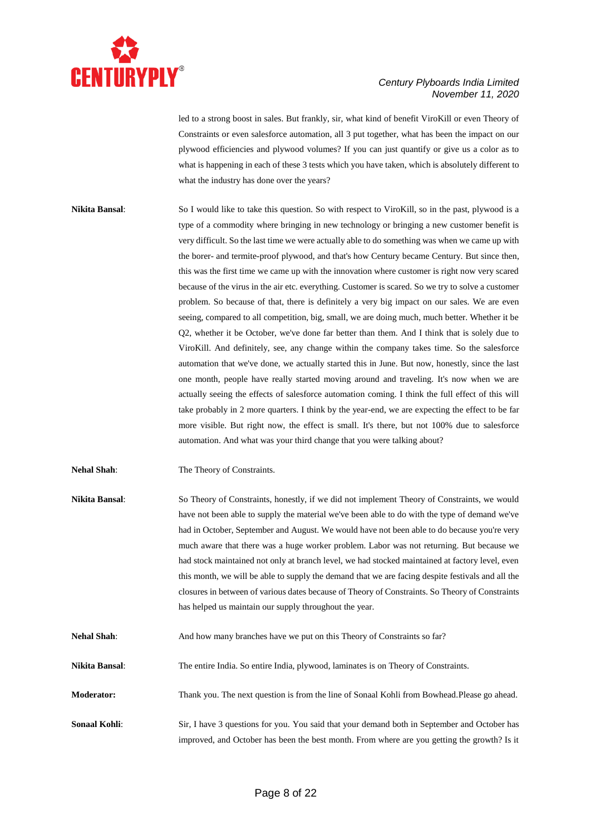

led to a strong boost in sales. But frankly, sir, what kind of benefit ViroKill or even Theory of Constraints or even salesforce automation, all 3 put together, what has been the impact on our plywood efficiencies and plywood volumes? If you can just quantify or give us a color as to what is happening in each of these 3 tests which you have taken, which is absolutely different to what the industry has done over the years?

- **Nikita Bansal**: So I would like to take this question. So with respect to ViroKill, so in the past, plywood is a type of a commodity where bringing in new technology or bringing a new customer benefit is very difficult. So the last time we were actually able to do something was when we came up with the borer- and termite-proof plywood, and that's how Century became Century. But since then, this was the first time we came up with the innovation where customer is right now very scared because of the virus in the air etc. everything. Customer is scared. So we try to solve a customer problem. So because of that, there is definitely a very big impact on our sales. We are even seeing, compared to all competition, big, small, we are doing much, much better. Whether it be Q2, whether it be October, we've done far better than them. And I think that is solely due to ViroKill. And definitely, see, any change within the company takes time. So the salesforce automation that we've done, we actually started this in June. But now, honestly, since the last one month, people have really started moving around and traveling. It's now when we are actually seeing the effects of salesforce automation coming. I think the full effect of this will take probably in 2 more quarters. I think by the year-end, we are expecting the effect to be far more visible. But right now, the effect is small. It's there, but not 100% due to salesforce automation. And what was your third change that you were talking about?
- **Nehal Shah**: The Theory of Constraints.
- **Nikita Bansal**: So Theory of Constraints, honestly, if we did not implement Theory of Constraints, we would have not been able to supply the material we've been able to do with the type of demand we've had in October, September and August. We would have not been able to do because you're very much aware that there was a huge worker problem. Labor was not returning. But because we had stock maintained not only at branch level, we had stocked maintained at factory level, even this month, we will be able to supply the demand that we are facing despite festivals and all the closures in between of various dates because of Theory of Constraints. So Theory of Constraints has helped us maintain our supply throughout the year.
- **Nehal Shah:** And how many branches have we put on this Theory of Constraints so far?
- **Nikita Bansal**: The entire India. So entire India, plywood, laminates is on Theory of Constraints.
- **Moderator:** Thank you. The next question is from the line of Sonaal Kohli from Bowhead.Please go ahead.
- **Sonaal Kohli:** Sir, I have 3 questions for you. You said that your demand both in September and October has improved, and October has been the best month. From where are you getting the growth? Is it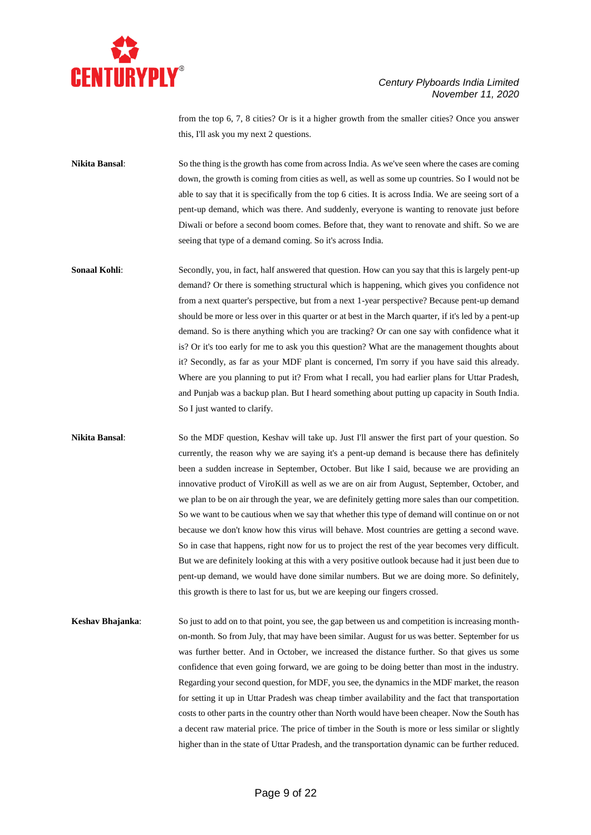

from the top 6, 7, 8 cities? Or is it a higher growth from the smaller cities? Once you answer this, I'll ask you my next 2 questions.

**Nikita Bansal:** So the thing is the growth has come from across India. As we've seen where the cases are coming down, the growth is coming from cities as well, as well as some up countries. So I would not be able to say that it is specifically from the top 6 cities. It is across India. We are seeing sort of a pent-up demand, which was there. And suddenly, everyone is wanting to renovate just before Diwali or before a second boom comes. Before that, they want to renovate and shift. So we are seeing that type of a demand coming. So it's across India.

**Sonaal Kohli:** Secondly, you, in fact, half answered that question. How can you say that this is largely pent-up demand? Or there is something structural which is happening, which gives you confidence not from a next quarter's perspective, but from a next 1-year perspective? Because pent-up demand should be more or less over in this quarter or at best in the March quarter, if it's led by a pent-up demand. So is there anything which you are tracking? Or can one say with confidence what it is? Or it's too early for me to ask you this question? What are the management thoughts about it? Secondly, as far as your MDF plant is concerned, I'm sorry if you have said this already. Where are you planning to put it? From what I recall, you had earlier plans for Uttar Pradesh, and Punjab was a backup plan. But I heard something about putting up capacity in South India. So I just wanted to clarify.

**Nikita Bansal**: So the MDF question, Keshav will take up. Just I'll answer the first part of your question. So currently, the reason why we are saying it's a pent-up demand is because there has definitely been a sudden increase in September, October. But like I said, because we are providing an innovative product of ViroKill as well as we are on air from August, September, October, and we plan to be on air through the year, we are definitely getting more sales than our competition. So we want to be cautious when we say that whether this type of demand will continue on or not because we don't know how this virus will behave. Most countries are getting a second wave. So in case that happens, right now for us to project the rest of the year becomes very difficult. But we are definitely looking at this with a very positive outlook because had it just been due to pent-up demand, we would have done similar numbers. But we are doing more. So definitely, this growth is there to last for us, but we are keeping our fingers crossed.

**Keshav Bhajanka**: So just to add on to that point, you see, the gap between us and competition is increasing monthon-month. So from July, that may have been similar. August for us was better. September for us was further better. And in October, we increased the distance further. So that gives us some confidence that even going forward, we are going to be doing better than most in the industry. Regarding your second question, for MDF, you see, the dynamics in the MDF market, the reason for setting it up in Uttar Pradesh was cheap timber availability and the fact that transportation costs to other parts in the country other than North would have been cheaper. Now the South has a decent raw material price. The price of timber in the South is more or less similar or slightly higher than in the state of Uttar Pradesh, and the transportation dynamic can be further reduced.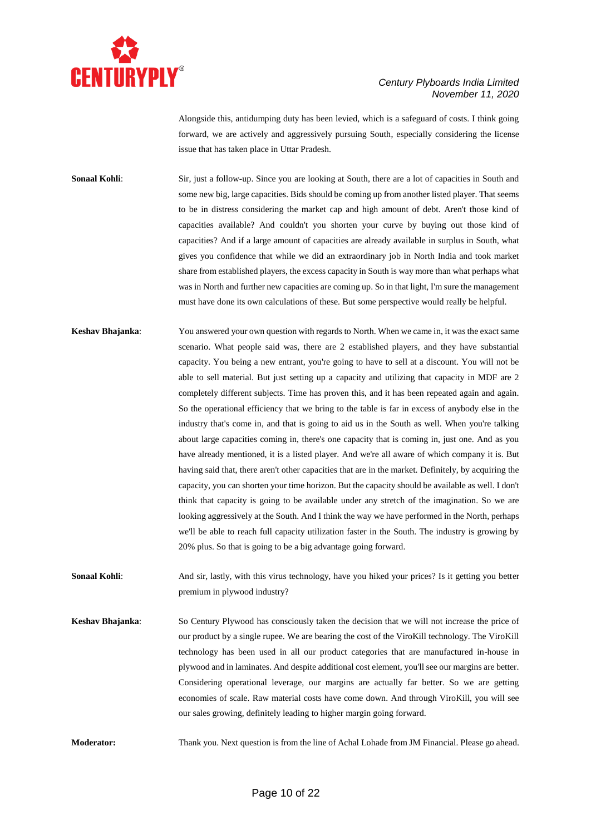

Alongside this, antidumping duty has been levied, which is a safeguard of costs. I think going forward, we are actively and aggressively pursuing South, especially considering the license issue that has taken place in Uttar Pradesh.

**Sonaal Kohli:** Sir, just a follow-up. Since you are looking at South, there are a lot of capacities in South and some new big, large capacities. Bids should be coming up from another listed player. That seems to be in distress considering the market cap and high amount of debt. Aren't those kind of capacities available? And couldn't you shorten your curve by buying out those kind of capacities? And if a large amount of capacities are already available in surplus in South, what gives you confidence that while we did an extraordinary job in North India and took market share from established players, the excess capacity in South is way more than what perhaps what was in North and further new capacities are coming up. So in that light, I'm sure the management must have done its own calculations of these. But some perspective would really be helpful.

**Keshav Bhajanka**: You answered your own question with regards to North. When we came in, it was the exact same scenario. What people said was, there are 2 established players, and they have substantial capacity. You being a new entrant, you're going to have to sell at a discount. You will not be able to sell material. But just setting up a capacity and utilizing that capacity in MDF are 2 completely different subjects. Time has proven this, and it has been repeated again and again. So the operational efficiency that we bring to the table is far in excess of anybody else in the industry that's come in, and that is going to aid us in the South as well. When you're talking about large capacities coming in, there's one capacity that is coming in, just one. And as you have already mentioned, it is a listed player. And we're all aware of which company it is. But having said that, there aren't other capacities that are in the market. Definitely, by acquiring the capacity, you can shorten your time horizon. But the capacity should be available as well. I don't think that capacity is going to be available under any stretch of the imagination. So we are looking aggressively at the South. And I think the way we have performed in the North, perhaps we'll be able to reach full capacity utilization faster in the South. The industry is growing by 20% plus. So that is going to be a big advantage going forward.

**Sonaal Kohli:** And sir, lastly, with this virus technology, have you hiked your prices? Is it getting you better premium in plywood industry?

**Keshav Bhajanka**: So Century Plywood has consciously taken the decision that we will not increase the price of our product by a single rupee. We are bearing the cost of the ViroKill technology. The ViroKill technology has been used in all our product categories that are manufactured in-house in plywood and in laminates. And despite additional cost element, you'll see our margins are better. Considering operational leverage, our margins are actually far better. So we are getting economies of scale. Raw material costs have come down. And through ViroKill, you will see our sales growing, definitely leading to higher margin going forward.

**Moderator:** Thank you. Next question is from the line of Achal Lohade from JM Financial. Please go ahead.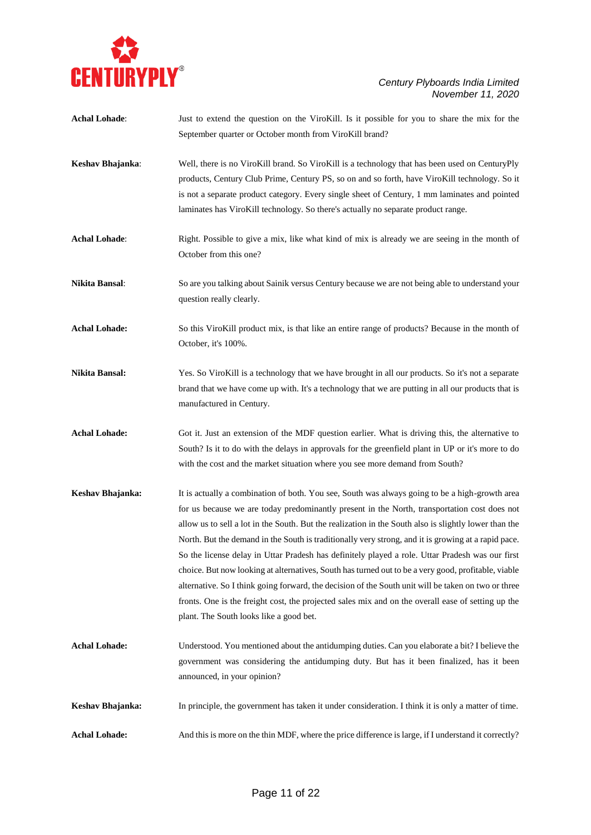

| <b>Achal Lohade:</b>  | Just to extend the question on the ViroKill. Is it possible for you to share the mix for the          |
|-----------------------|-------------------------------------------------------------------------------------------------------|
|                       | September quarter or October month from ViroKill brand?                                               |
| Keshav Bhajanka:      | Well, there is no ViroKill brand. So ViroKill is a technology that has been used on CenturyPly        |
|                       | products, Century Club Prime, Century PS, so on and so forth, have ViroKill technology. So it         |
|                       | is not a separate product category. Every single sheet of Century, 1 mm laminates and pointed         |
|                       | laminates has ViroKill technology. So there's actually no separate product range.                     |
| <b>Achal Lohade:</b>  | Right. Possible to give a mix, like what kind of mix is already we are seeing in the month of         |
|                       | October from this one?                                                                                |
| Nikita Bansal:        | So are you talking about Sainik versus Century because we are not being able to understand your       |
|                       | question really clearly.                                                                              |
| <b>Achal Lohade:</b>  | So this ViroKill product mix, is that like an entire range of products? Because in the month of       |
|                       | October, it's 100%.                                                                                   |
| <b>Nikita Bansal:</b> | Yes. So ViroKill is a technology that we have brought in all our products. So it's not a separate     |
|                       | brand that we have come up with. It's a technology that we are putting in all our products that is    |
|                       | manufactured in Century.                                                                              |
| <b>Achal Lohade:</b>  | Got it. Just an extension of the MDF question earlier. What is driving this, the alternative to       |
|                       | South? Is it to do with the delays in approvals for the greenfield plant in UP or it's more to do     |
|                       | with the cost and the market situation where you see more demand from South?                          |
| Keshav Bhajanka:      | It is actually a combination of both. You see, South was always going to be a high-growth area        |
|                       | for us because we are today predominantly present in the North, transportation cost does not          |
|                       | allow us to sell a lot in the South. But the realization in the South also is slightly lower than the |
|                       | North. But the demand in the South is traditionally very strong, and it is growing at a rapid pace.   |
|                       | So the license delay in Uttar Pradesh has definitely played a role. Uttar Pradesh was our first       |
|                       | choice. But now looking at alternatives, South has turned out to be a very good, profitable, viable   |
|                       | alternative. So I think going forward, the decision of the South unit will be taken on two or three   |
|                       | fronts. One is the freight cost, the projected sales mix and on the overall ease of setting up the    |
|                       | plant. The South looks like a good bet.                                                               |
| <b>Achal Lohade:</b>  | Understood. You mentioned about the antidumping duties. Can you elaborate a bit? I believe the        |
|                       | government was considering the antidumping duty. But has it been finalized, has it been               |
|                       | announced, in your opinion?                                                                           |
| Keshav Bhajanka:      | In principle, the government has taken it under consideration. I think it is only a matter of time.   |
| <b>Achal Lohade:</b>  | And this is more on the thin MDF, where the price difference is large, if I understand it correctly?  |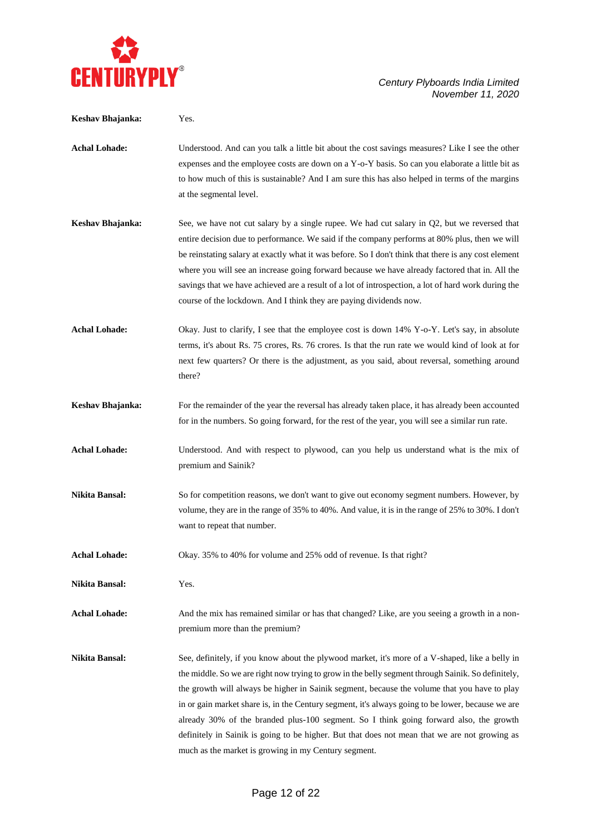

| Keshav Bhajanka:      | Yes.                                                                                                                                                                                                                                                                                                                                                                                                                                                                                                                                                                                                                                                          |
|-----------------------|---------------------------------------------------------------------------------------------------------------------------------------------------------------------------------------------------------------------------------------------------------------------------------------------------------------------------------------------------------------------------------------------------------------------------------------------------------------------------------------------------------------------------------------------------------------------------------------------------------------------------------------------------------------|
| <b>Achal Lohade:</b>  | Understood. And can you talk a little bit about the cost savings measures? Like I see the other<br>expenses and the employee costs are down on a Y-o-Y basis. So can you elaborate a little bit as<br>to how much of this is sustainable? And I am sure this has also helped in terms of the margins<br>at the segmental level.                                                                                                                                                                                                                                                                                                                               |
| Keshav Bhajanka:      | See, we have not cut salary by a single rupee. We had cut salary in Q2, but we reversed that<br>entire decision due to performance. We said if the company performs at 80% plus, then we will<br>be reinstating salary at exactly what it was before. So I don't think that there is any cost element<br>where you will see an increase going forward because we have already factored that in. All the<br>savings that we have achieved are a result of a lot of introspection, a lot of hard work during the<br>course of the lockdown. And I think they are paying dividends now.                                                                          |
| <b>Achal Lohade:</b>  | Okay. Just to clarify, I see that the employee cost is down 14% Y-o-Y. Let's say, in absolute<br>terms, it's about Rs. 75 crores, Rs. 76 crores. Is that the run rate we would kind of look at for<br>next few quarters? Or there is the adjustment, as you said, about reversal, something around<br>there?                                                                                                                                                                                                                                                                                                                                                  |
| Keshav Bhajanka:      | For the remainder of the year the reversal has already taken place, it has already been accounted<br>for in the numbers. So going forward, for the rest of the year, you will see a similar run rate.                                                                                                                                                                                                                                                                                                                                                                                                                                                         |
| <b>Achal Lohade:</b>  | Understood. And with respect to plywood, can you help us understand what is the mix of<br>premium and Sainik?                                                                                                                                                                                                                                                                                                                                                                                                                                                                                                                                                 |
| Nikita Bansal:        | So for competition reasons, we don't want to give out economy segment numbers. However, by<br>volume, they are in the range of 35% to 40%. And value, it is in the range of 25% to 30%. I don't<br>want to repeat that number.                                                                                                                                                                                                                                                                                                                                                                                                                                |
| <b>Achal Lohade:</b>  | Okay. 35% to 40% for volume and 25% odd of revenue. Is that right?                                                                                                                                                                                                                                                                                                                                                                                                                                                                                                                                                                                            |
| <b>Nikita Bansal:</b> | Yes.                                                                                                                                                                                                                                                                                                                                                                                                                                                                                                                                                                                                                                                          |
| <b>Achal Lohade:</b>  | And the mix has remained similar or has that changed? Like, are you seeing a growth in a non-<br>premium more than the premium?                                                                                                                                                                                                                                                                                                                                                                                                                                                                                                                               |
| Nikita Bansal:        | See, definitely, if you know about the plywood market, it's more of a V-shaped, like a belly in<br>the middle. So we are right now trying to grow in the belly segment through Sainik. So definitely,<br>the growth will always be higher in Sainik segment, because the volume that you have to play<br>in or gain market share is, in the Century segment, it's always going to be lower, because we are<br>already 30% of the branded plus-100 segment. So I think going forward also, the growth<br>definitely in Sainik is going to be higher. But that does not mean that we are not growing as<br>much as the market is growing in my Century segment. |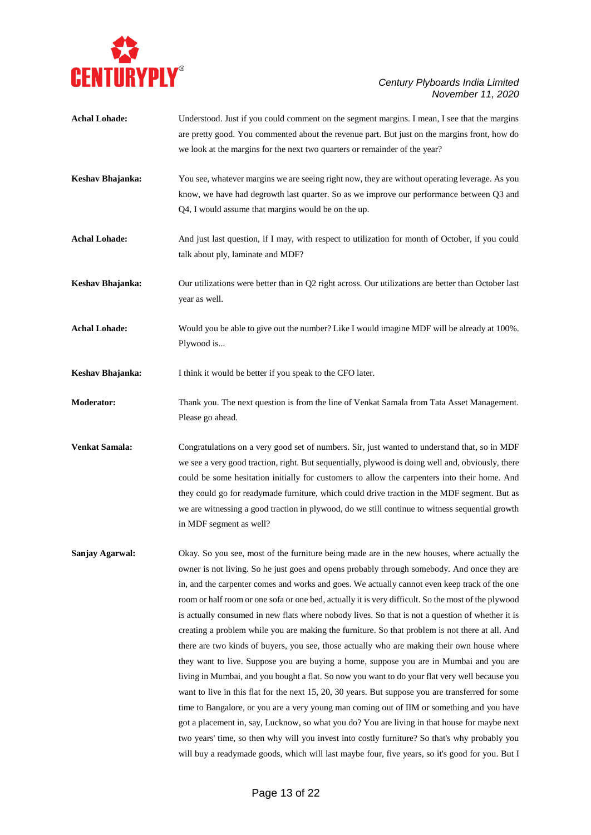

| <b>Achal Lohade:</b> | Understood. Just if you could comment on the segment margins. I mean, I see that the margins<br>are pretty good. You commented about the revenue part. But just on the margins front, how do<br>we look at the margins for the next two quarters or remainder of the year?                                                                                                                                                                                                                                                                                                                                                                                                                                                                                                                                                                                                                                                                                                                                                                                                                                                                                                                                                                                                                                   |
|----------------------|--------------------------------------------------------------------------------------------------------------------------------------------------------------------------------------------------------------------------------------------------------------------------------------------------------------------------------------------------------------------------------------------------------------------------------------------------------------------------------------------------------------------------------------------------------------------------------------------------------------------------------------------------------------------------------------------------------------------------------------------------------------------------------------------------------------------------------------------------------------------------------------------------------------------------------------------------------------------------------------------------------------------------------------------------------------------------------------------------------------------------------------------------------------------------------------------------------------------------------------------------------------------------------------------------------------|
| Keshav Bhajanka:     | You see, whatever margins we are seeing right now, they are without operating leverage. As you<br>know, we have had degrowth last quarter. So as we improve our performance between Q3 and<br>Q4, I would assume that margins would be on the up.                                                                                                                                                                                                                                                                                                                                                                                                                                                                                                                                                                                                                                                                                                                                                                                                                                                                                                                                                                                                                                                            |
| <b>Achal Lohade:</b> | And just last question, if I may, with respect to utilization for month of October, if you could<br>talk about ply, laminate and MDF?                                                                                                                                                                                                                                                                                                                                                                                                                                                                                                                                                                                                                                                                                                                                                                                                                                                                                                                                                                                                                                                                                                                                                                        |
| Keshav Bhajanka:     | Our utilizations were better than in Q2 right across. Our utilizations are better than October last<br>year as well.                                                                                                                                                                                                                                                                                                                                                                                                                                                                                                                                                                                                                                                                                                                                                                                                                                                                                                                                                                                                                                                                                                                                                                                         |
| <b>Achal Lohade:</b> | Would you be able to give out the number? Like I would imagine MDF will be already at 100%.<br>Plywood is                                                                                                                                                                                                                                                                                                                                                                                                                                                                                                                                                                                                                                                                                                                                                                                                                                                                                                                                                                                                                                                                                                                                                                                                    |
| Keshav Bhajanka:     | I think it would be better if you speak to the CFO later.                                                                                                                                                                                                                                                                                                                                                                                                                                                                                                                                                                                                                                                                                                                                                                                                                                                                                                                                                                                                                                                                                                                                                                                                                                                    |
| <b>Moderator:</b>    | Thank you. The next question is from the line of Venkat Samala from Tata Asset Management.<br>Please go ahead.                                                                                                                                                                                                                                                                                                                                                                                                                                                                                                                                                                                                                                                                                                                                                                                                                                                                                                                                                                                                                                                                                                                                                                                               |
| Venkat Samala:       | Congratulations on a very good set of numbers. Sir, just wanted to understand that, so in MDF<br>we see a very good traction, right. But sequentially, plywood is doing well and, obviously, there<br>could be some hesitation initially for customers to allow the carpenters into their home. And<br>they could go for readymade furniture, which could drive traction in the MDF segment. But as<br>we are witnessing a good traction in plywood, do we still continue to witness sequential growth<br>in MDF segment as well?                                                                                                                                                                                                                                                                                                                                                                                                                                                                                                                                                                                                                                                                                                                                                                            |
| Sanjay Agarwal:      | Okay. So you see, most of the furniture being made are in the new houses, where actually the<br>owner is not living. So he just goes and opens probably through somebody. And once they are<br>in, and the carpenter comes and works and goes. We actually cannot even keep track of the one<br>room or half room or one sofa or one bed, actually it is very difficult. So the most of the plywood<br>is actually consumed in new flats where nobody lives. So that is not a question of whether it is<br>creating a problem while you are making the furniture. So that problem is not there at all. And<br>there are two kinds of buyers, you see, those actually who are making their own house where<br>they want to live. Suppose you are buying a home, suppose you are in Mumbai and you are<br>living in Mumbai, and you bought a flat. So now you want to do your flat very well because you<br>want to live in this flat for the next 15, 20, 30 years. But suppose you are transferred for some<br>time to Bangalore, or you are a very young man coming out of IIM or something and you have<br>got a placement in, say, Lucknow, so what you do? You are living in that house for maybe next<br>two years' time, so then why will you invest into costly furniture? So that's why probably you |

will buy a readymade goods, which will last maybe four, five years, so it's good for you. But I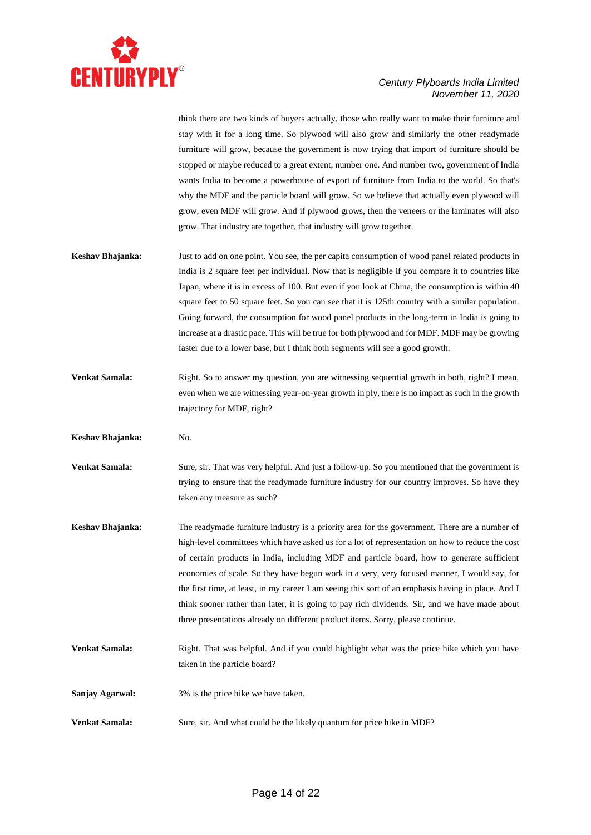

think there are two kinds of buyers actually, those who really want to make their furniture and stay with it for a long time. So plywood will also grow and similarly the other readymade furniture will grow, because the government is now trying that import of furniture should be stopped or maybe reduced to a great extent, number one. And number two, government of India wants India to become a powerhouse of export of furniture from India to the world. So that's why the MDF and the particle board will grow. So we believe that actually even plywood will grow, even MDF will grow. And if plywood grows, then the veneers or the laminates will also grow. That industry are together, that industry will grow together.

- **Keshav Bhajanka:** Just to add on one point. You see, the per capita consumption of wood panel related products in India is 2 square feet per individual. Now that is negligible if you compare it to countries like Japan, where it is in excess of 100. But even if you look at China, the consumption is within 40 square feet to 50 square feet. So you can see that it is 125th country with a similar population. Going forward, the consumption for wood panel products in the long-term in India is going to increase at a drastic pace. This will be true for both plywood and for MDF. MDF may be growing faster due to a lower base, but I think both segments will see a good growth.
- **Venkat Samala:** Right. So to answer my question, you are witnessing sequential growth in both, right? I mean, even when we are witnessing year-on-year growth in ply, there is no impact as such in the growth trajectory for MDF, right?
- **Keshav Bhajanka:** No.
- **Venkat Samala:** Sure, sir. That was very helpful. And just a follow-up. So you mentioned that the government is trying to ensure that the readymade furniture industry for our country improves. So have they taken any measure as such?
- **Keshav Bhajanka:** The readymade furniture industry is a priority area for the government. There are a number of high-level committees which have asked us for a lot of representation on how to reduce the cost of certain products in India, including MDF and particle board, how to generate sufficient economies of scale. So they have begun work in a very, very focused manner, I would say, for the first time, at least, in my career I am seeing this sort of an emphasis having in place. And I think sooner rather than later, it is going to pay rich dividends. Sir, and we have made about three presentations already on different product items. Sorry, please continue.
- **Venkat Samala:** Right. That was helpful. And if you could highlight what was the price hike which you have taken in the particle board?
- **Sanjay Agarwal:** 3% is the price hike we have taken.
- **Venkat Samala:** Sure, sir. And what could be the likely quantum for price hike in MDF?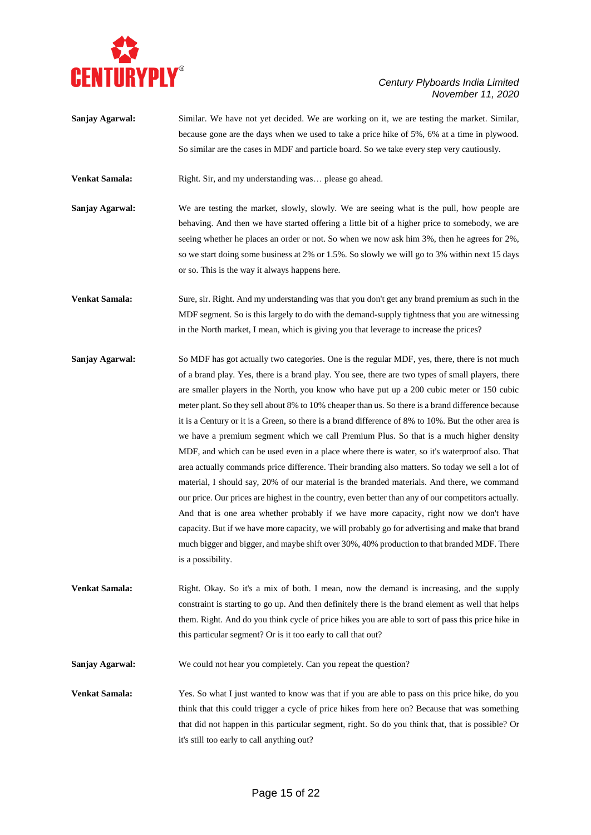

## *Century Plyboards India Limited November 11, 2020*

**Sanjay Agarwal:** Similar. We have not yet decided. We are working on it, we are testing the market. Similar, because gone are the days when we used to take a price hike of 5%, 6% at a time in plywood. So similar are the cases in MDF and particle board. So we take every step very cautiously.

**Venkat Samala:** Right. Sir, and my understanding was... please go ahead.

**Sanjay Agarwal:** We are testing the market, slowly, slowly. We are seeing what is the pull, how people are behaving. And then we have started offering a little bit of a higher price to somebody, we are seeing whether he places an order or not. So when we now ask him 3%, then he agrees for 2%, so we start doing some business at 2% or 1.5%. So slowly we will go to 3% within next 15 days or so. This is the way it always happens here.

**Venkat Samala:** Sure, sir. Right. And my understanding was that you don't get any brand premium as such in the MDF segment. So is this largely to do with the demand-supply tightness that you are witnessing in the North market, I mean, which is giving you that leverage to increase the prices?

**Sanjay Agarwal:** So MDF has got actually two categories. One is the regular MDF, yes, there, there is not much of a brand play. Yes, there is a brand play. You see, there are two types of small players, there are smaller players in the North, you know who have put up a 200 cubic meter or 150 cubic meter plant. So they sell about 8% to 10% cheaper than us. So there is a brand difference because it is a Century or it is a Green, so there is a brand difference of 8% to 10%. But the other area is we have a premium segment which we call Premium Plus. So that is a much higher density MDF, and which can be used even in a place where there is water, so it's waterproof also. That area actually commands price difference. Their branding also matters. So today we sell a lot of material, I should say, 20% of our material is the branded materials. And there, we command our price. Our prices are highest in the country, even better than any of our competitors actually. And that is one area whether probably if we have more capacity, right now we don't have capacity. But if we have more capacity, we will probably go for advertising and make that brand much bigger and bigger, and maybe shift over 30%, 40% production to that branded MDF. There is a possibility.

**Venkat Samala:** Right. Okay. So it's a mix of both. I mean, now the demand is increasing, and the supply constraint is starting to go up. And then definitely there is the brand element as well that helps them. Right. And do you think cycle of price hikes you are able to sort of pass this price hike in this particular segment? Or is it too early to call that out?

**Sanjay Agarwal:** We could not hear you completely. Can you repeat the question?

**Venkat Samala:** Yes. So what I just wanted to know was that if you are able to pass on this price hike, do you think that this could trigger a cycle of price hikes from here on? Because that was something that did not happen in this particular segment, right. So do you think that, that is possible? Or it's still too early to call anything out?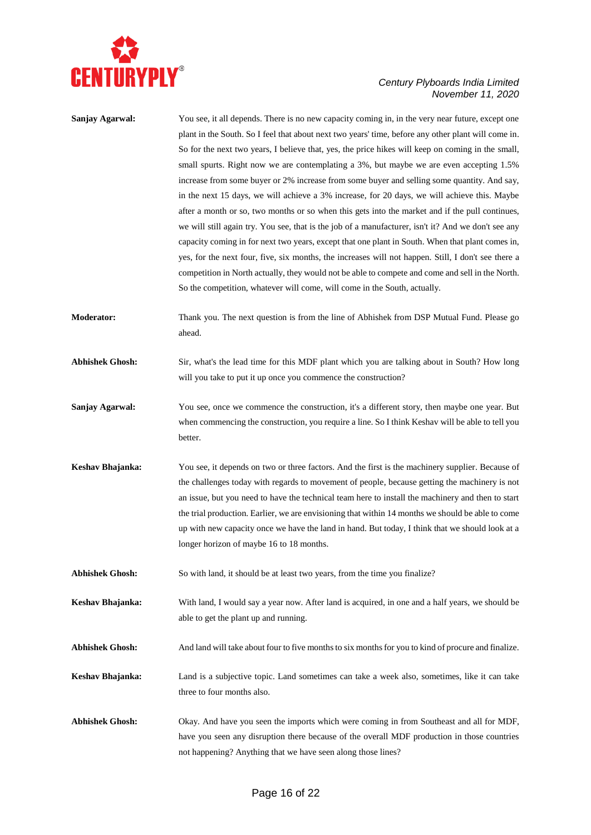

## *Century Plyboards India Limited November 11, 2020*

| Sanjay Agarwal:        | You see, it all depends. There is no new capacity coming in, in the very near future, except one<br>plant in the South. So I feel that about next two years' time, before any other plant will come in.<br>So for the next two years, I believe that, yes, the price hikes will keep on coming in the small,<br>small spurts. Right now we are contemplating a 3%, but maybe we are even accepting 1.5%<br>increase from some buyer or 2% increase from some buyer and selling some quantity. And say,<br>in the next 15 days, we will achieve a 3% increase, for 20 days, we will achieve this. Maybe<br>after a month or so, two months or so when this gets into the market and if the pull continues,<br>we will still again try. You see, that is the job of a manufacturer, isn't it? And we don't see any<br>capacity coming in for next two years, except that one plant in South. When that plant comes in,<br>yes, for the next four, five, six months, the increases will not happen. Still, I don't see there a |
|------------------------|-----------------------------------------------------------------------------------------------------------------------------------------------------------------------------------------------------------------------------------------------------------------------------------------------------------------------------------------------------------------------------------------------------------------------------------------------------------------------------------------------------------------------------------------------------------------------------------------------------------------------------------------------------------------------------------------------------------------------------------------------------------------------------------------------------------------------------------------------------------------------------------------------------------------------------------------------------------------------------------------------------------------------------|
|                        | competition in North actually, they would not be able to compete and come and sell in the North.<br>So the competition, whatever will come, will come in the South, actually.                                                                                                                                                                                                                                                                                                                                                                                                                                                                                                                                                                                                                                                                                                                                                                                                                                               |
| <b>Moderator:</b>      | Thank you. The next question is from the line of Abhishek from DSP Mutual Fund. Please go<br>ahead.                                                                                                                                                                                                                                                                                                                                                                                                                                                                                                                                                                                                                                                                                                                                                                                                                                                                                                                         |
| <b>Abhishek Ghosh:</b> | Sir, what's the lead time for this MDF plant which you are talking about in South? How long<br>will you take to put it up once you commence the construction?                                                                                                                                                                                                                                                                                                                                                                                                                                                                                                                                                                                                                                                                                                                                                                                                                                                               |
| Sanjay Agarwal:        | You see, once we commence the construction, it's a different story, then maybe one year. But<br>when commencing the construction, you require a line. So I think Keshav will be able to tell you<br>better.                                                                                                                                                                                                                                                                                                                                                                                                                                                                                                                                                                                                                                                                                                                                                                                                                 |
| Keshav Bhajanka:       | You see, it depends on two or three factors. And the first is the machinery supplier. Because of<br>the challenges today with regards to movement of people, because getting the machinery is not<br>an issue, but you need to have the technical team here to install the machinery and then to start<br>the trial production. Earlier, we are envisioning that within 14 months we should be able to come<br>up with new capacity once we have the land in hand. But today, I think that we should look at a<br>longer horizon of maybe 16 to 18 months.                                                                                                                                                                                                                                                                                                                                                                                                                                                                  |
| <b>Abhishek Ghosh:</b> | So with land, it should be at least two years, from the time you finalize?                                                                                                                                                                                                                                                                                                                                                                                                                                                                                                                                                                                                                                                                                                                                                                                                                                                                                                                                                  |
| Keshav Bhajanka:       | With land, I would say a year now. After land is acquired, in one and a half years, we should be<br>able to get the plant up and running.                                                                                                                                                                                                                                                                                                                                                                                                                                                                                                                                                                                                                                                                                                                                                                                                                                                                                   |
| <b>Abhishek Ghosh:</b> | And land will take about four to five months to six months for you to kind of procure and finalize.                                                                                                                                                                                                                                                                                                                                                                                                                                                                                                                                                                                                                                                                                                                                                                                                                                                                                                                         |
| Keshav Bhajanka:       | Land is a subjective topic. Land sometimes can take a week also, sometimes, like it can take<br>three to four months also.                                                                                                                                                                                                                                                                                                                                                                                                                                                                                                                                                                                                                                                                                                                                                                                                                                                                                                  |
| <b>Abhishek Ghosh:</b> | Okay. And have you seen the imports which were coming in from Southeast and all for MDF,<br>have you seen any disruption there because of the overall MDF production in those countries<br>not happening? Anything that we have seen along those lines?                                                                                                                                                                                                                                                                                                                                                                                                                                                                                                                                                                                                                                                                                                                                                                     |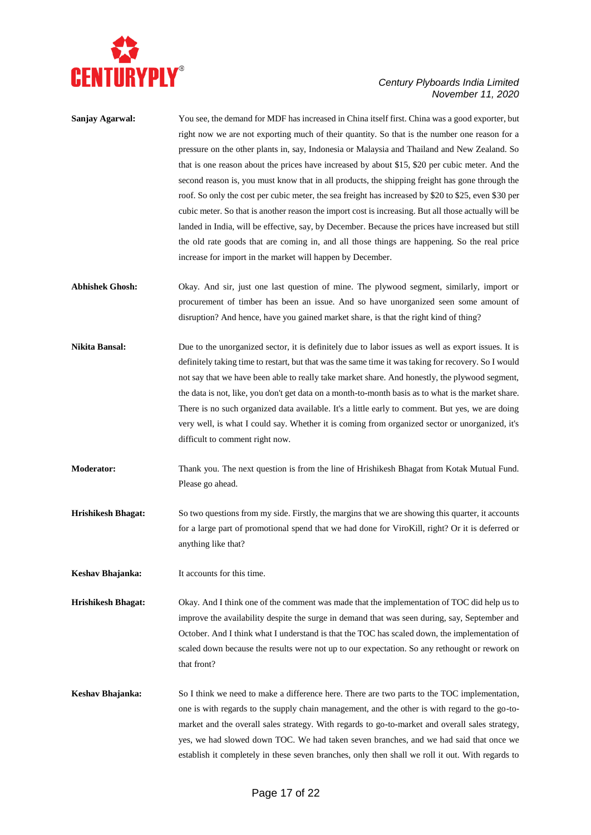

## *Century Plyboards India Limited November 11, 2020*

| Sanjay Agarwal:           | You see, the demand for MDF has increased in China itself first. China was a good exporter, but<br>right now we are not exporting much of their quantity. So that is the number one reason for a<br>pressure on the other plants in, say, Indonesia or Malaysia and Thailand and New Zealand. So<br>that is one reason about the prices have increased by about \$15, \$20 per cubic meter. And the<br>second reason is, you must know that in all products, the shipping freight has gone through the<br>roof. So only the cost per cubic meter, the sea freight has increased by \$20 to \$25, even \$30 per<br>cubic meter. So that is another reason the import cost is increasing. But all those actually will be<br>landed in India, will be effective, say, by December. Because the prices have increased but still<br>the old rate goods that are coming in, and all those things are happening. So the real price |
|---------------------------|-----------------------------------------------------------------------------------------------------------------------------------------------------------------------------------------------------------------------------------------------------------------------------------------------------------------------------------------------------------------------------------------------------------------------------------------------------------------------------------------------------------------------------------------------------------------------------------------------------------------------------------------------------------------------------------------------------------------------------------------------------------------------------------------------------------------------------------------------------------------------------------------------------------------------------|
|                           | increase for import in the market will happen by December.                                                                                                                                                                                                                                                                                                                                                                                                                                                                                                                                                                                                                                                                                                                                                                                                                                                                  |
| <b>Abhishek Ghosh:</b>    | Okay. And sir, just one last question of mine. The plywood segment, similarly, import or<br>procurement of timber has been an issue. And so have unorganized seen some amount of<br>disruption? And hence, have you gained market share, is that the right kind of thing?                                                                                                                                                                                                                                                                                                                                                                                                                                                                                                                                                                                                                                                   |
| Nikita Bansal:            | Due to the unorganized sector, it is definitely due to labor issues as well as export issues. It is<br>definitely taking time to restart, but that was the same time it was taking for recovery. So I would<br>not say that we have been able to really take market share. And honestly, the plywood segment,<br>the data is not, like, you don't get data on a month-to-month basis as to what is the market share.<br>There is no such organized data available. It's a little early to comment. But yes, we are doing<br>very well, is what I could say. Whether it is coming from organized sector or unorganized, it's<br>difficult to comment right now.                                                                                                                                                                                                                                                              |
| <b>Moderator:</b>         | Thank you. The next question is from the line of Hrishikesh Bhagat from Kotak Mutual Fund.<br>Please go ahead.                                                                                                                                                                                                                                                                                                                                                                                                                                                                                                                                                                                                                                                                                                                                                                                                              |
| <b>Hrishikesh Bhagat:</b> | So two questions from my side. Firstly, the margins that we are showing this quarter, it accounts<br>for a large part of promotional spend that we had done for ViroKill, right? Or it is deferred or<br>anything like that?                                                                                                                                                                                                                                                                                                                                                                                                                                                                                                                                                                                                                                                                                                |
| Keshav Bhajanka:          | It accounts for this time.                                                                                                                                                                                                                                                                                                                                                                                                                                                                                                                                                                                                                                                                                                                                                                                                                                                                                                  |
| <b>Hrishikesh Bhagat:</b> | Okay. And I think one of the comment was made that the implementation of TOC did help us to<br>improve the availability despite the surge in demand that was seen during, say, September and<br>October. And I think what I understand is that the TOC has scaled down, the implementation of<br>scaled down because the results were not up to our expectation. So any rethought or rework on<br>that front?                                                                                                                                                                                                                                                                                                                                                                                                                                                                                                               |
| Keshav Bhajanka:          | So I think we need to make a difference here. There are two parts to the TOC implementation,<br>one is with regards to the supply chain management, and the other is with regard to the go-to-<br>market and the overall sales strategy. With regards to go-to-market and overall sales strategy,<br>yes, we had slowed down TOC. We had taken seven branches, and we had said that once we<br>establish it completely in these seven branches, only then shall we roll it out. With regards to                                                                                                                                                                                                                                                                                                                                                                                                                             |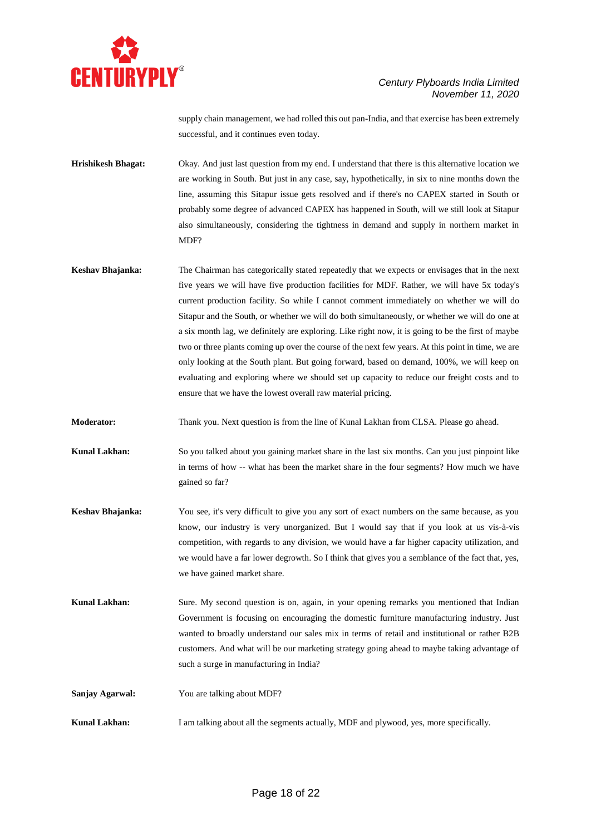

supply chain management, we had rolled this out pan-India, and that exercise has been extremely successful, and it continues even today.

- **Hrishikesh Bhagat:** Okay. And just last question from my end. I understand that there is this alternative location we are working in South. But just in any case, say, hypothetically, in six to nine months down the line, assuming this Sitapur issue gets resolved and if there's no CAPEX started in South or probably some degree of advanced CAPEX has happened in South, will we still look at Sitapur also simultaneously, considering the tightness in demand and supply in northern market in MD<sub>F?</sub>
- **Keshav Bhajanka:** The Chairman has categorically stated repeatedly that we expects or envisages that in the next five years we will have five production facilities for MDF. Rather, we will have 5x today's current production facility. So while I cannot comment immediately on whether we will do Sitapur and the South, or whether we will do both simultaneously, or whether we will do one at a six month lag, we definitely are exploring. Like right now, it is going to be the first of maybe two or three plants coming up over the course of the next few years. At this point in time, we are only looking at the South plant. But going forward, based on demand, 100%, we will keep on evaluating and exploring where we should set up capacity to reduce our freight costs and to ensure that we have the lowest overall raw material pricing.

**Moderator:** Thank you. Next question is from the line of Kunal Lakhan from CLSA. Please go ahead.

**Kunal Lakhan:** So you talked about you gaining market share in the last six months. Can you just pinpoint like in terms of how -- what has been the market share in the four segments? How much we have gained so far?

- **Keshav Bhajanka:** You see, it's very difficult to give you any sort of exact numbers on the same because, as you know, our industry is very unorganized. But I would say that if you look at us vis-à-vis competition, with regards to any division, we would have a far higher capacity utilization, and we would have a far lower degrowth. So I think that gives you a semblance of the fact that, yes, we have gained market share.
- **Kunal Lakhan:** Sure. My second question is on, again, in your opening remarks you mentioned that Indian Government is focusing on encouraging the domestic furniture manufacturing industry. Just wanted to broadly understand our sales mix in terms of retail and institutional or rather B2B customers. And what will be our marketing strategy going ahead to maybe taking advantage of such a surge in manufacturing in India?

**Sanjay Agarwal:** You are talking about MDF?

**Kunal Lakhan:** I am talking about all the segments actually, MDF and plywood, yes, more specifically.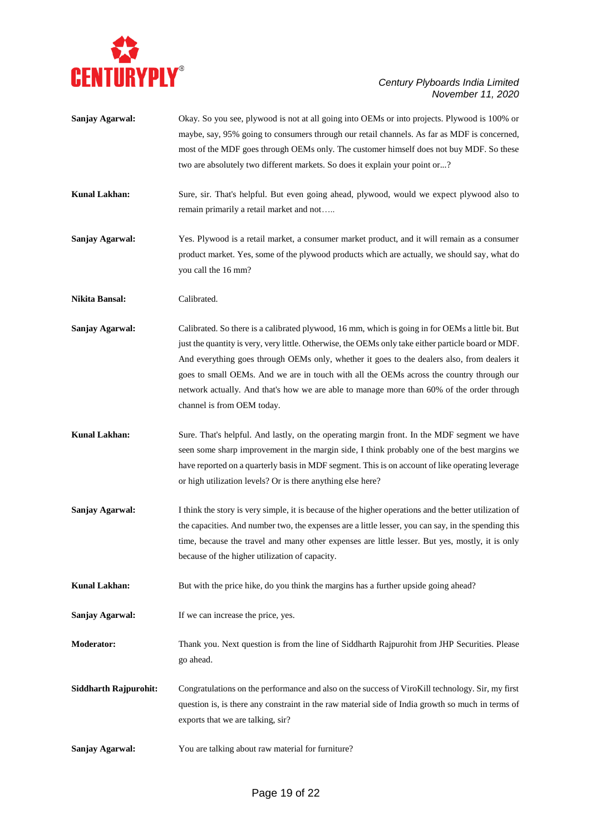

| Sanjay Agarwal:              | Okay. So you see, plywood is not at all going into OEMs or into projects. Plywood is 100% or<br>maybe, say, 95% going to consumers through our retail channels. As far as MDF is concerned,<br>most of the MDF goes through OEMs only. The customer himself does not buy MDF. So these<br>two are absolutely two different markets. So does it explain your point or?                                                                                                                                                          |
|------------------------------|--------------------------------------------------------------------------------------------------------------------------------------------------------------------------------------------------------------------------------------------------------------------------------------------------------------------------------------------------------------------------------------------------------------------------------------------------------------------------------------------------------------------------------|
| <b>Kunal Lakhan:</b>         | Sure, sir. That's helpful. But even going ahead, plywood, would we expect plywood also to<br>remain primarily a retail market and not                                                                                                                                                                                                                                                                                                                                                                                          |
| Sanjay Agarwal:              | Yes. Plywood is a retail market, a consumer market product, and it will remain as a consumer<br>product market. Yes, some of the plywood products which are actually, we should say, what do<br>you call the 16 mm?                                                                                                                                                                                                                                                                                                            |
| Nikita Bansal:               | Calibrated.                                                                                                                                                                                                                                                                                                                                                                                                                                                                                                                    |
| <b>Sanjay Agarwal:</b>       | Calibrated. So there is a calibrated plywood, 16 mm, which is going in for OEMs a little bit. But<br>just the quantity is very, very little. Otherwise, the OEMs only take either particle board or MDF.<br>And everything goes through OEMs only, whether it goes to the dealers also, from dealers it<br>goes to small OEMs. And we are in touch with all the OEMs across the country through our<br>network actually. And that's how we are able to manage more than 60% of the order through<br>channel is from OEM today. |
| <b>Kunal Lakhan:</b>         | Sure. That's helpful. And lastly, on the operating margin front. In the MDF segment we have<br>seen some sharp improvement in the margin side, I think probably one of the best margins we<br>have reported on a quarterly basis in MDF segment. This is on account of like operating leverage<br>or high utilization levels? Or is there anything else here?                                                                                                                                                                  |
| Sanjay Agarwal:              | I think the story is very simple, it is because of the higher operations and the better utilization of<br>the capacities. And number two, the expenses are a little lesser, you can say, in the spending this<br>time, because the travel and many other expenses are little lesser. But yes, mostly, it is only<br>because of the higher utilization of capacity.                                                                                                                                                             |
| <b>Kunal Lakhan:</b>         | But with the price hike, do you think the margins has a further upside going ahead?                                                                                                                                                                                                                                                                                                                                                                                                                                            |
| Sanjay Agarwal:              | If we can increase the price, yes.                                                                                                                                                                                                                                                                                                                                                                                                                                                                                             |
| Moderator:                   | Thank you. Next question is from the line of Siddharth Rajpurohit from JHP Securities. Please<br>go ahead.                                                                                                                                                                                                                                                                                                                                                                                                                     |
| <b>Siddharth Rajpurohit:</b> | Congratulations on the performance and also on the success of ViroKill technology. Sir, my first<br>question is, is there any constraint in the raw material side of India growth so much in terms of<br>exports that we are talking, sir?                                                                                                                                                                                                                                                                                     |
| Sanjay Agarwal:              | You are talking about raw material for furniture?                                                                                                                                                                                                                                                                                                                                                                                                                                                                              |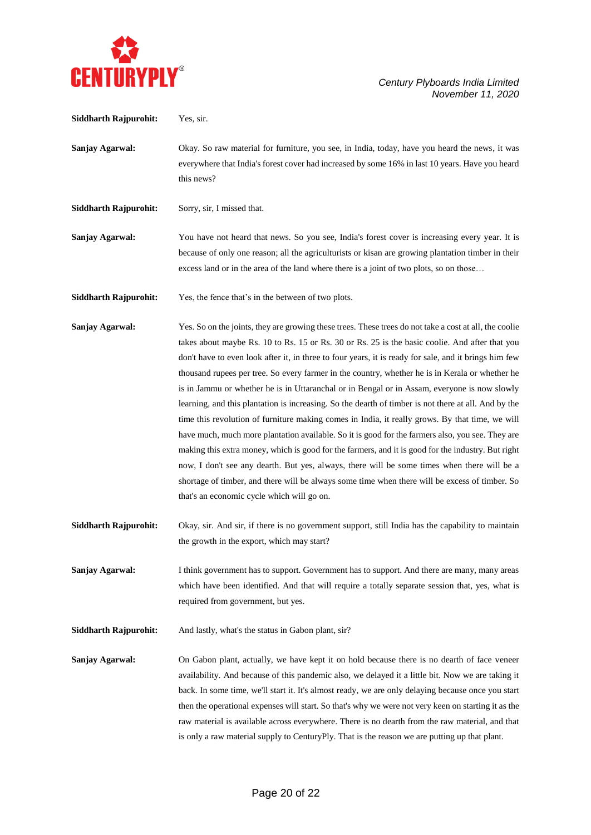

**Siddharth Rajpurohit:** Yes, sir.

**Sanjay Agarwal:** Okay. So raw material for furniture, you see, in India, today, have you heard the news, it was everywhere that India's forest cover had increased by some 16% in last 10 years. Have you heard this news?

Siddharth Rajpurohit: Sorry, sir, I missed that.

**Sanjay Agarwal:** You have not heard that news. So you see, India's forest cover is increasing every year. It is because of only one reason; all the agriculturists or kisan are growing plantation timber in their excess land or in the area of the land where there is a joint of two plots, so on those…

**Siddharth Rajpurohit:** Yes, the fence that's in the between of two plots.

**Sanjay Agarwal:** Yes. So on the joints, they are growing these trees. These trees do not take a cost at all, the coolie takes about maybe Rs. 10 to Rs. 15 or Rs. 30 or Rs. 25 is the basic coolie. And after that you don't have to even look after it, in three to four years, it is ready for sale, and it brings him few thousand rupees per tree. So every farmer in the country, whether he is in Kerala or whether he is in Jammu or whether he is in Uttaranchal or in Bengal or in Assam, everyone is now slowly learning, and this plantation is increasing. So the dearth of timber is not there at all. And by the time this revolution of furniture making comes in India, it really grows. By that time, we will have much, much more plantation available. So it is good for the farmers also, you see. They are making this extra money, which is good for the farmers, and it is good for the industry. But right now, I don't see any dearth. But yes, always, there will be some times when there will be a shortage of timber, and there will be always some time when there will be excess of timber. So that's an economic cycle which will go on.

**Siddharth Rajpurohit:** Okay, sir. And sir, if there is no government support, still India has the capability to maintain the growth in the export, which may start?

**Sanjay Agarwal:** I think government has to support. Government has to support. And there are many, many areas which have been identified. And that will require a totally separate session that, yes, what is required from government, but yes.

**Siddharth Rajpurohit:** And lastly, what's the status in Gabon plant, sir?

**Sanjay Agarwal:** On Gabon plant, actually, we have kept it on hold because there is no dearth of face veneer availability. And because of this pandemic also, we delayed it a little bit. Now we are taking it back. In some time, we'll start it. It's almost ready, we are only delaying because once you start then the operational expenses will start. So that's why we were not very keen on starting it as the raw material is available across everywhere. There is no dearth from the raw material, and that is only a raw material supply to CenturyPly. That is the reason we are putting up that plant.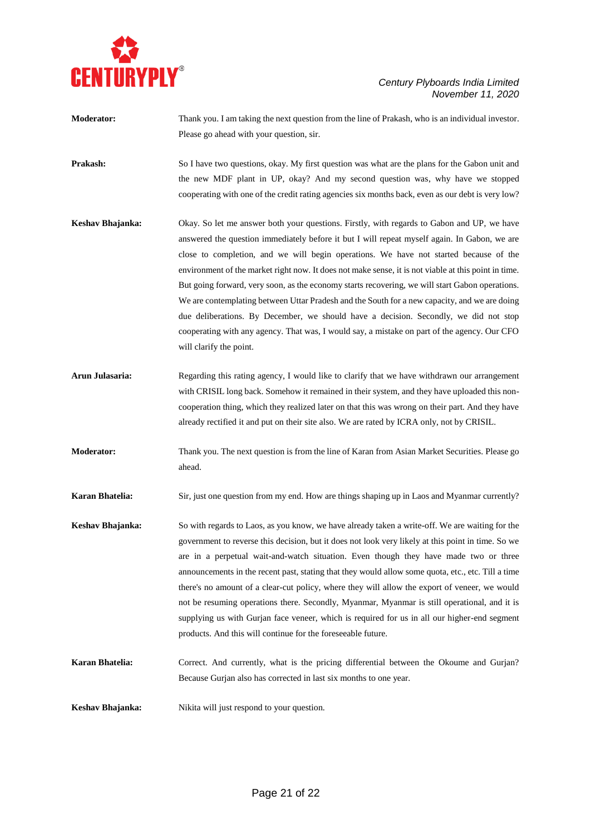

| <b>Moderator:</b> | Thank you. I am taking the next question from the line of Prakash, who is an individual investor. |
|-------------------|---------------------------------------------------------------------------------------------------|
|                   | Please go ahead with your question, sir.                                                          |
|                   |                                                                                                   |

**Prakash:** So I have two questions, okay. My first question was what are the plans for the Gabon unit and the new MDF plant in UP, okay? And my second question was, why have we stopped cooperating with one of the credit rating agencies six months back, even as our debt is very low?

- **Keshav Bhajanka:** Okay. So let me answer both your questions. Firstly, with regards to Gabon and UP, we have answered the question immediately before it but I will repeat myself again. In Gabon, we are close to completion, and we will begin operations. We have not started because of the environment of the market right now. It does not make sense, it is not viable at this point in time. But going forward, very soon, as the economy starts recovering, we will start Gabon operations. We are contemplating between Uttar Pradesh and the South for a new capacity, and we are doing due deliberations. By December, we should have a decision. Secondly, we did not stop cooperating with any agency. That was, I would say, a mistake on part of the agency. Our CFO will clarify the point.
- **Arun Julasaria:** Regarding this rating agency, I would like to clarify that we have withdrawn our arrangement with CRISIL long back. Somehow it remained in their system, and they have uploaded this noncooperation thing, which they realized later on that this was wrong on their part. And they have already rectified it and put on their site also. We are rated by ICRA only, not by CRISIL.
- **Moderator:** Thank you. The next question is from the line of Karan from Asian Market Securities. Please go ahead.

**Karan Bhatelia:** Sir, just one question from my end. How are things shaping up in Laos and Myanmar currently?

- **Keshav Bhajanka:** So with regards to Laos, as you know, we have already taken a write-off. We are waiting for the government to reverse this decision, but it does not look very likely at this point in time. So we are in a perpetual wait-and-watch situation. Even though they have made two or three announcements in the recent past, stating that they would allow some quota, etc., etc. Till a time there's no amount of a clear-cut policy, where they will allow the export of veneer, we would not be resuming operations there. Secondly, Myanmar, Myanmar is still operational, and it is supplying us with Gurjan face veneer, which is required for us in all our higher-end segment products. And this will continue for the foreseeable future.
- **Karan Bhatelia:** Correct. And currently, what is the pricing differential between the Okoume and Gurjan? Because Gurjan also has corrected in last six months to one year.

**Keshav Bhajanka:** Nikita will just respond to your question.